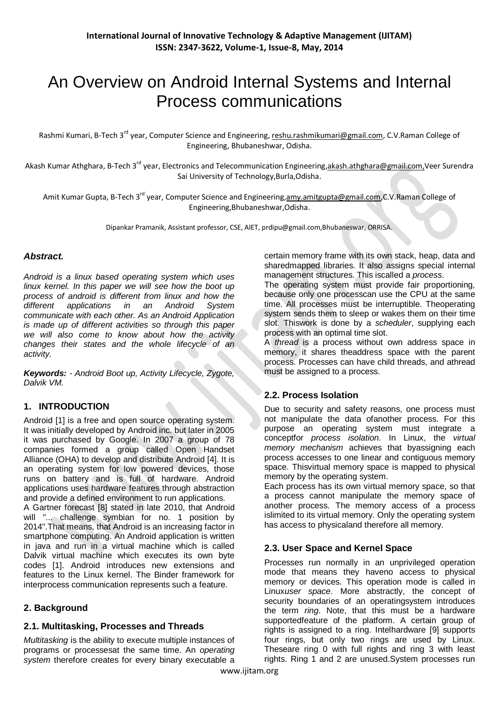# An Overview on Android Internal Systems and Internal Process communications

Rashmi Kumari, B-Tech 3<sup>rd</sup> year, Computer Science and Engineering, <u>reshu.rashmikumari@gmail.com</u>, C.V.Raman College of Engineering, Bhubaneshwar, Odisha.

Akash Kumar Athghara, B-Tech 3<sup>rd</sup> year, Electronics and Telecommunication Engineering,<u>akash.athghara@gmail.com,</u>Veer Surendra Sai University of Technology,Burla,Odisha.

Amit Kumar Gupta, B-Tech 3<sup>rd</sup> year, Computer Science and Engineerin<u>g,amy.amitgupta@gmail.com</u>,C.V.Raman College of Engineering,Bhubaneshwar,Odisha.

Dipankar Pramanik, Assistant professor, CSE, AIET, prdipu@gmail.com,Bhubaneswar, ORRISA.

#### *Abstract.*

*Android is a linux based operating system which uses linux kernel. In this paper we will see how the boot up process of android is different from linux and how the different applications in an Android System communicate with each other. As an Android Application is made up of different activities so through this paper we will also come to know about how the activity changes their states and the whole lifecycle of an activity.* 

*Keywords: - Android Boot up, Activity Lifecycle, Zygote, Dalvik VM.* 

## **1. INTRODUCTION**

Android [1] is a free and open source operating system. It was initially developed by Android inc. but later in 2005 it was purchased by Google. In 2007 a group of 78 companies formed a group called Open Handset Alliance (OHA) to develop and distribute Android [4]. It is an operating system for low powered devices, those runs on battery and is full of hardware. Android applications uses hardware features through abstraction and provide a defined environment to run applications.

A Gartner forecast [8] stated in late 2010, that Android will "... challenge symbian for no. 1 position by 2014".That means, that Android is an increasing factor in smartphone computing. An Android application is written in java and run in a virtual machine which is called Dalvik virtual machine which executes its own byte codes [1]. Android introduces new extensions and features to the Linux kernel. The Binder framework for interprocess communication represents such a feature.

## **2. Background**

#### **2.1. Multitasking, Processes and Threads**

*Multitasking* is the ability to execute multiple instances of programs or processesat the same time. An *operating system* therefore creates for every binary executable a certain memory frame with its own stack, heap, data and sharedmapped libraries. It also assigns special internal management structures. This iscalled a *process*.

The operating system must provide fair proportioning, because only one processcan use the CPU at the same time. All processes must be interruptible. Theoperating system sends them to sleep or wakes them on their time slot. Thiswork is done by a *scheduler*, supplying each process with an optimal time slot.

A *thread* is a process without own address space in memory, it shares theaddress space with the parent process. Processes can have child threads, and athread must be assigned to a process.

## **2.2. Process Isolation**

Due to security and safety reasons, one process must not manipulate the data ofanother process. For this purpose an operating system must integrate a conceptfor *process isolation*. In Linux, the *virtual memory mechanism* achieves that byassigning each process accesses to one linear and contiguous memory space. Thisvirtual memory space is mapped to physical memory by the operating system.

Each process has its own virtual memory space, so that a process cannot manipulate the memory space of another process. The memory access of a process islimited to its virtual memory. Only the operating system has access to physicaland therefore all memory.

## **2.3. User Space and Kernel Space**

Processes run normally in an unprivileged operation mode that means they haveno access to physical memory or devices. This operation mode is called in Linux*user space*. More abstractly, the concept of security boundaries of an operatingsystem introduces the term *ring*. Note, that this must be a hardware supportedfeature of the platform. A certain group of rights is assigned to a ring. Intelhardware [9] supports four rings, but only two rings are used by Linux. Theseare ring 0 with full rights and ring 3 with least rights. Ring 1 and 2 are unused.System processes run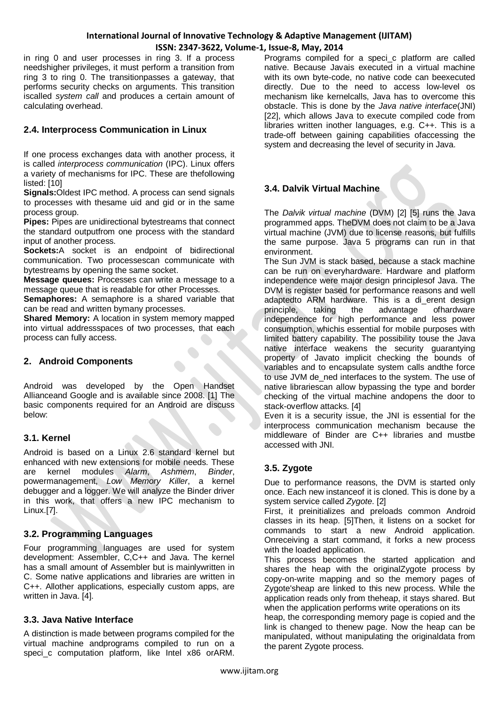in ring 0 and user processes in ring 3. If a process needshigher privileges, it must perform a transition from ring 3 to ring 0. The transitionpasses a gateway, that performs security checks on arguments. This transition iscalled *system call* and produces a certain amount of calculating overhead.

## **2.4. Interprocess Communication in Linux**

If one process exchanges data with another process, it is called *interprocess communication* (IPC). Linux offers a variety of mechanisms for IPC. These are thefollowing listed: [10]

**Signals:**Oldest IPC method. A process can send signals to processes with thesame uid and gid or in the same process group.

**Pipes:** Pipes are unidirectional bytestreams that connect the standard outputfrom one process with the standard input of another process.

**Sockets:**A socket is an endpoint of bidirectional communication. Two processescan communicate with bytestreams by opening the same socket.

**Message queues:** Processes can write a message to a message queue that is readable for other Processes.

**Semaphores:** A semaphore is a shared variable that can be read and written bymany processes.

**Shared Memory:** A location in system memory mapped into virtual addressspaces of two processes, that each process can fully access.

## **2. Android Components**

Android was developed by the Open Handset Allianceand Google and is available since 2008. [1] The basic components required for an Android are discuss below:

#### **3.1. Kernel**

Android is based on a Linux 2.6 standard kernel but enhanced with new extensions for mobile needs. These are kernel modules *Alarm*, *Ashmem*, *Binder*, powermanagement, *Low Memory Killer*, a kernel debugger and a logger. We will analyze the Binder driver in this work, that offers a new IPC mechanism to Linux.[7].

## **3.2. Programming Languages**

Four programming languages are used for system development: Assembler, C,C++ and Java. The kernel has a small amount of Assembler but is mainlywritten in C. Some native applications and libraries are written in C++. Allother applications, especially custom apps, are written in Java. [4].

## **3.3. Java Native Interface**

A distinction is made between programs compiled for the virtual machine andprograms compiled to run on a speci\_c computation platform, like Intel x86 orARM.

Programs compiled for a speci\_c platform are called native. Because Javais executed in a virtual machine with its own byte-code, no native code can beexecuted directly. Due to the need to access low-level os mechanism like kernelcalls, Java has to overcome this obstacle. This is done by the *Java native interface*(JNI) [22], which allows Java to execute compiled code from libraries written inother languages, e.g. C++. This is a trade-off between gaining capabilities ofaccessing the system and decreasing the level of security in Java.

## **3.4. Dalvik Virtual Machine**

The *Dalvik virtual machine* (DVM) [2] [5] runs the Java programmed apps. TheDVM does not claim to be a Java virtual machine (JVM) due to license reasons, but fulfills the same purpose. Java 5 programs can run in that environment.

The Sun JVM is stack based, because a stack machine can be run on everyhardware. Hardware and platform independence were major design principlesof Java. The DVM is register based for performance reasons and well adaptedto ARM hardware. This is a di\_erent design principle, taking the advantage ofhardware independence for high performance and less power consumption, whichis essential for mobile purposes with limited battery capability. The possibility touse the Java native interface weakens the security guarantying property of Javato implicit checking the bounds of variables and to encapsulate system calls andthe force to use JVM de\_ned interfaces to the system. The use of native librariescan allow bypassing the type and border checking of the virtual machine andopens the door to stack-overflow attacks. [4]

Even it is a security issue, the JNI is essential for the interprocess communication mechanism because the middleware of Binder are C++ libraries and mustbe accessed with JNI.

# **3.5. Zygote**

Due to performance reasons, the DVM is started only once. Each new instanceof it is cloned. This is done by a system service called *Zygote*. [2]

First, it preinitializes and preloads common Android classes in its heap. [5]Then, it listens on a socket for commands to start a new Android application. Onreceiving a start command, it forks a new process with the loaded application.

This process becomes the started application and shares the heap with the originalZygote process by copy-on-write mapping and so the memory pages of Zygote'sheap are linked to this new process. While the application reads only from theheap, it stays shared. But when the application performs write operations on its

heap, the corresponding memory page is copied and the link is changed to thenew page. Now the heap can be manipulated, without manipulating the originaldata from the parent Zygote process.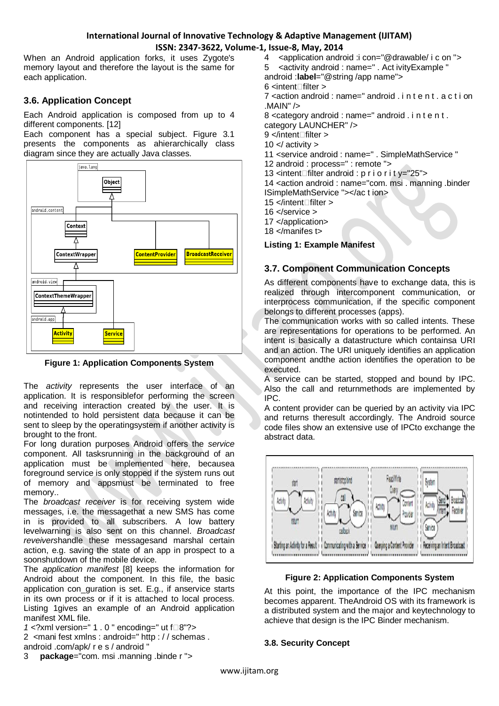When an Android application forks, it uses Zygote's memory layout and therefore the layout is the same for each application.

# **3.6. Application Concept**

Each Android application is composed from up to 4 different components. [12]

Each component has a special subject. Figure 3.1 presents the components as ahierarchically class diagram since they are actually Java classes.



**Figure 1: Application Components System**

The *activity* represents the user interface of an application. It is responsiblefor performing the screen and receiving interaction created by the user. It is notintended to hold persistent data because it can be sent to sleep by the operatingsystem if another activity is brought to the front.

For long duration purposes Android offers the *service*  component. All tasksrunning in the background of an application must be implemented here, becausea foreground service is only stopped if the system runs out of memory and appsmust be terminated to free memory..

The *broadcast receiver* is for receiving system wide messages, i.e. the messagethat a new SMS has come in is provided to all subscribers. A low battery levelwarning is also sent on this channel. *Broadcast reveivers*handle these messagesand marshal certain action, e.g. saving the state of an app in prospect to a soonshutdown of the mobile device.

The *application manifest* [8] keeps the information for Android about the component. In this file, the basic application con\_guration is set. E.g., if anservice starts in its own process or if it is attached to local process. Listing 1gives an example of an Android application manifest XML file.

*1* <?xml version=" 1 . 0 " encoding=" ut f□8"?>

2 *<*mani fest xmlns : android=" http : / / schemas .

- android .com/apk/ r e s / android "
- 3 **package**="com. msi .manning .binde r "*>*
- 4 *<*application android :i con="@drawable/ i c on "*>*
- 5 *<*activity android : name=" . Act ivityExample "

android :**label**="@string /app name"*>*

6 *<*intentfilter *>*

7 *<*action android : name=" android . i n t e n t . a c t i on .MAIN" /*>*

8 *<*category android : name=" android . i n t e n t . category LAUNCHER" /*>*

- 9 *<*/intentfilter *>*
- 10 *<*/ activity *>*
- 11 *<*service android : name=" . SimpleMathService "
- 12 android : process=" : remote "*>*
- 13 *<*intentfilter android : p r i o r i t y="25"*>*

14 *<*action android : name="com. msi . manning .binder ISimpleMathService "*><*/ac t ion*>*

- 15 *<*/intentfilter *>*
- 16 *<*/service *>*
- 17 *<*/application*>*

18 *<*/manifes t*>*

**Listing 1: Example Manifest**

# **3.7. Component Communication Concepts**

As different components have to exchange data, this is realized through intercomponent communication, or interprocess communication, if the specific component belongs to different processes (apps).

The communication works with so called intents. These are representations for operations to be performed. An intent is basically a datastructure which containsa URI and an action. The URI uniquely identifies an application component andthe action identifies the operation to be executed.

A service can be started, stopped and bound by IPC. Also the call and returnmethods are implemented by IPC.

A content provider can be queried by an activity via IPC and returns theresult accordingly. The Android source code files show an extensive use of IPCto exchange the abstract data.



#### **Figure 2: Application Components System**

At this point, the importance of the IPC mechanism becomes apparent. TheAndroid OS with its framework is a distributed system and the major and keytechnology to achieve that design is the IPC Binder mechanism.

#### **3.8. Security Concept**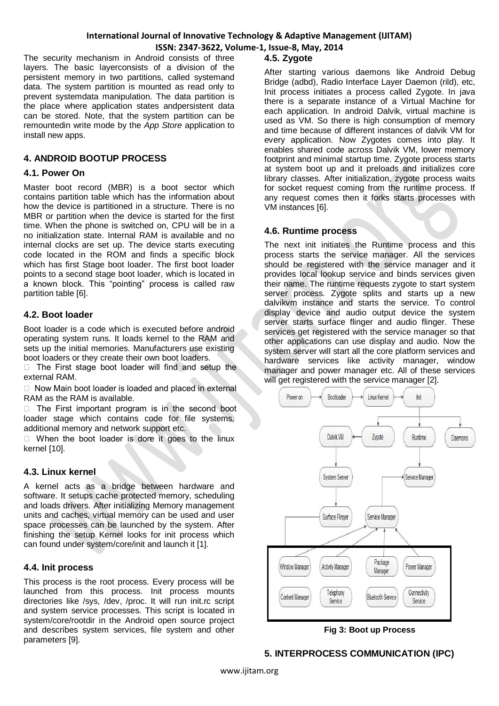The security mechanism in Android consists of three layers. The basic layerconsists of a division of the persistent memory in two partitions, called systemand data. The system partition is mounted as read only to prevent systemdata manipulation. The data partition is the place where application states andpersistent data can be stored. Note, that the system partition can be remountedin write mode by the *App Store* application to install new apps.

## **4. ANDROID BOOTUP PROCESS**

#### **4.1. Power On**

Master boot record (MBR) is a boot sector which contains partition table which has the information about how the device is partitioned in a structure. There is no MBR or partition when the device is started for the first time. When the phone is switched on, CPU will be in a no initialization state. Internal RAM is available and no internal clocks are set up. The device starts executing code located in the ROM and finds a specific block which has first Stage boot loader. The first boot loader points to a second stage boot loader, which is located in a known block. This "pointing" process is called raw partition table [6].

## **4.2. Boot loader**

Boot loader is a code which is executed before android operating system runs. It loads kernel to the RAM and sets up the initial memories. Manufacturers use existing boot loaders or they create their own boot loaders.

 $\Box$  The First stage boot loader will find and setup the external RAM.

□ Now Main boot loader is loaded and placed in external RAM as the RAM is available.

 $\Box$  The First important program is in the second boot loader stage which contains code for file systems, additional memory and network support etc.

 $\Box$  When the boot loader is dore it goes to the linux kernel [10].

#### **4.3. Linux kernel**

A kernel acts as a bridge between hardware and software. It setups cache protected memory, scheduling and loads drivers. After initializing Memory management units and caches, virtual memory can be used and user space processes can be launched by the system. After finishing the setup Kernel looks for init process which can found under system/core/init and launch it [1].

#### **4.4. Init process**

This process is the root process. Every process will be launched from this process. Init process mounts directories like /sys, /dev, /proc. It will run init.rc script and system service processes. This script is located in system/core/rootdir in the Android open source project and describes system services, file system and other parameters [9].

## **4.5. Zygote**

After starting various daemons like Android Debug Bridge (adbd), Radio Interface Layer Daemon (rild), etc, Init process initiates a process called Zygote. In java there is a separate instance of a Virtual Machine for each application. In android Dalvik, virtual machine is used as VM. So there is high consumption of memory and time because of different instances of dalvik VM for every application. Now Zygotes comes into play. It enables shared code across Dalvik VM, lower memory footprint and minimal startup time. Zygote process starts at system boot up and it preloads and initializes core library classes. After initialization, zygote process waits for socket request coming from the runtime process. If any request comes then it forks starts processes with VM instances [6].

#### **4.6. Runtime process**

The next init initiates the Runtime process and this process starts the service manager. All the services should be registered with the service manager and it provides local lookup service and binds services given their name. The runtime requests zygote to start system server process. Zygote splits and starts up a new dalvikvm instance and starts the service. To control display device and audio output device the system server starts surface flinger and audio flinger. These services get registered with the service manager so that other applications can use display and audio. Now the system server will start all the core platform services and hardware services like activity manager, window manager and power manager etc. All of these services will get registered with the service manager [2].



**Fig 3: Boot up Process**

## **5. INTERPROCESS COMMUNICATION (IPC)**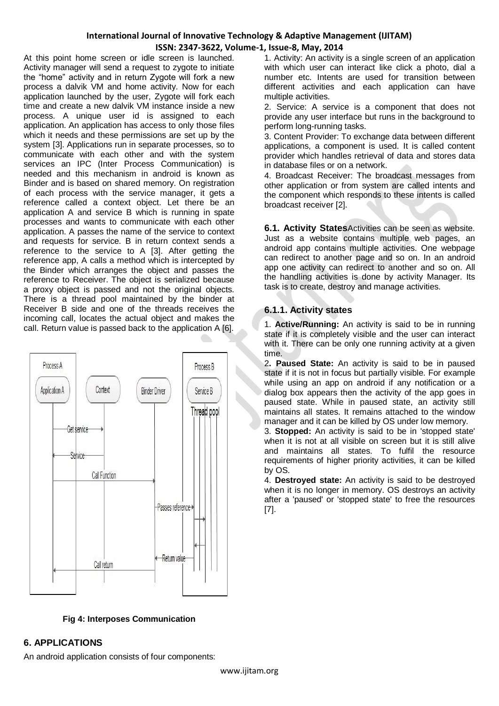At this point home screen or idle screen is launched. Activity manager will send a request to zygote to initiate the "home" activity and in return Zygote will fork a new process a dalvik VM and home activity. Now for each application launched by the user, Zygote will fork each time and create a new dalvik VM instance inside a new process. A unique user id is assigned to each application. An application has access to only those files which it needs and these permissions are set up by the system [3]. Applications run in separate processes, so to communicate with each other and with the system services an IPC (Inter Process Communication) is needed and this mechanism in android is known as Binder and is based on shared memory. On registration of each process with the service manager, it gets a reference called a context object. Let there be an application A and service B which is running in spate processes and wants to communicate with each other application. A passes the name of the service to context and requests for service. B in return context sends a reference to the service to A [3]. After getting the reference app, A calls a method which is intercepted by the Binder which arranges the object and passes the reference to Receiver. The object is serialized because a proxy object is passed and not the original objects. There is a thread pool maintained by the binder at Receiver B side and one of the threads receives the incoming call, locates the actual object and makes the call. Return value is passed back to the application A [6].



**Fig 4: Interposes Communication**

#### 1. Activity: An activity is a single screen of an application with which user can interact like click a photo, dial a number etc. Intents are used for transition between different activities and each application can have multiple activities.

2. Service: A service is a component that does not provide any user interface but runs in the background to perform long-running tasks.

3. Content Provider: To exchange data between different applications, a component is used. It is called content provider which handles retrieval of data and stores data in database files or on a network.

4. Broadcast Receiver: The broadcast messages from other application or from system are called intents and the component which responds to these intents is called broadcast receiver [2].

**6.1. Activity States**Activities can be seen as website. Just as a website contains multiple web pages, an android app contains multiple activities. One webpage can redirect to another page and so on. In an android app one activity can redirect to another and so on. All the handling activities is done by activity Manager. Its task is to create, destroy and manage activities.

# **6.1.1. Activity states**

1. **Active/Running:** An activity is said to be in running state if it is completely visible and the user can interact with it. There can be only one running activity at a given time.

2**. Paused State:** An activity is said to be in paused state if it is not in focus but partially visible. For example while using an app on android if any notification or a dialog box appears then the activity of the app goes in paused state. While in paused state, an activity still maintains all states. It remains attached to the window manager and it can be killed by OS under low memory.

3. **Stopped:** An activity is said to be in 'stopped state' when it is not at all visible on screen but it is still alive and maintains all states. To fulfil the resource requirements of higher priority activities, it can be killed by OS.

4. **Destroyed state:** An activity is said to be destroyed when it is no longer in memory. OS destroys an activity after a 'paused' or 'stopped state' to free the resources [7].

# **6. APPLICATIONS**

An android application consists of four components: